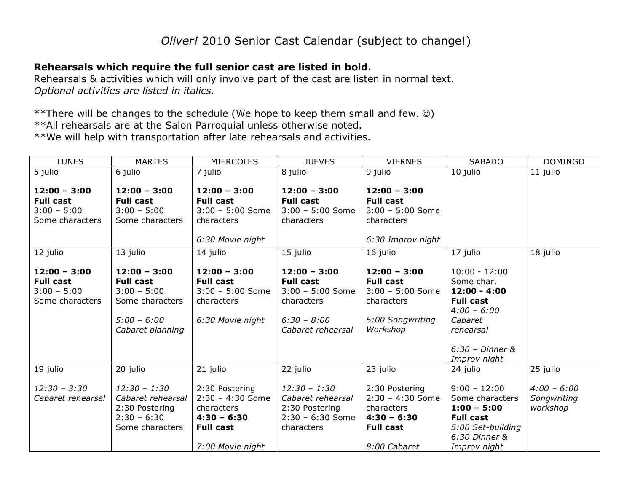## **Rehearsals which require the full senior cast are listed in bold.**

Rehearsals & activities which will only involve part of the cast are listen in normal text. *Optional activities are listed in italics.*

\*\*There will be changes to the schedule (We hope to keep them small and few.  $\circledcirc$ ) \*\*All rehearsals are at the Salon Parroquial unless otherwise noted. \*\*We will help with transportation after late rehearsals and activities.

| <b>LUNES</b>      | <b>MARTES</b>     | <b>MIERCOLES</b>   | <b>JUEVES</b>      | <b>VIERNES</b>     | <b>SABADO</b>     | <b>DOMINGO</b> |
|-------------------|-------------------|--------------------|--------------------|--------------------|-------------------|----------------|
| 5 julio           | 6 julio           | 7 julio            | 8 julio            | 9 julio            | 10 julio          | 11 julio       |
|                   |                   |                    |                    |                    |                   |                |
| $12:00 - 3:00$    | $12:00 - 3:00$    | $12:00 - 3:00$     | $12:00 - 3:00$     | $12:00 - 3:00$     |                   |                |
| <b>Full cast</b>  | <b>Full cast</b>  | <b>Full cast</b>   | <b>Full cast</b>   | <b>Full cast</b>   |                   |                |
| $3:00 - 5:00$     | $3:00 - 5:00$     | $3:00 - 5:00$ Some | $3:00 - 5:00$ Some | $3:00 - 5:00$ Some |                   |                |
| Some characters   | Some characters   | characters         | characters         | characters         |                   |                |
|                   |                   |                    |                    |                    |                   |                |
|                   |                   | 6:30 Movie night   |                    | 6:30 Improv night  |                   |                |
| 12 julio          | 13 julio          | 14 julio           | 15 julio           | 16 julio           | 17 julio          | 18 julio       |
|                   |                   |                    |                    |                    |                   |                |
| $12:00 - 3:00$    | $12:00 - 3:00$    | $12:00 - 3:00$     | $12:00 - 3:00$     | $12:00 - 3:00$     | $10:00 - 12:00$   |                |
| <b>Full cast</b>  | <b>Full cast</b>  | <b>Full cast</b>   | <b>Full cast</b>   | <b>Full cast</b>   | Some char.        |                |
| $3:00 - 5:00$     | $3:00 - 5:00$     | $3:00 - 5:00$ Some | $3:00 - 5:00$ Some | $3:00 - 5:00$ Some | $12:00 - 4:00$    |                |
| Some characters   | Some characters   | characters         | characters         | characters         | <b>Full cast</b>  |                |
|                   |                   |                    |                    |                    | $4:00 - 6:00$     |                |
|                   | $5:00 - 6:00$     | 6:30 Movie night   | $6:30 - 8:00$      | 5:00 Songwriting   | Cabaret           |                |
|                   | Cabaret planning  |                    | Cabaret rehearsal  | Workshop           | rehearsal         |                |
|                   |                   |                    |                    |                    | $6:30$ - Dinner & |                |
|                   |                   |                    |                    |                    |                   |                |
|                   |                   |                    |                    |                    | Improv night      |                |
| 19 julio          | 20 julio          | 21 julio           | 22 julio           | 23 julio           | 24 julio          | 25 julio       |
| $12:30 - 3:30$    | $12:30 - 1:30$    | 2:30 Postering     | $12:30 - 1:30$     | 2:30 Postering     | $9:00 - 12:00$    | $4:00 - 6:00$  |
| Cabaret rehearsal | Cabaret rehearsal | $2:30 - 4:30$ Some | Cabaret rehearsal  | $2:30 - 4:30$ Some | Some characters   | Songwriting    |
|                   | 2:30 Postering    | characters         | 2:30 Postering     | characters         | $1:00 - 5:00$     | workshop       |
|                   | $2:30 - 6:30$     | $4:30 - 6:30$      | $2:30 - 6:30$ Some | $4:30 - 6:30$      | <b>Full cast</b>  |                |
|                   | Some characters   | <b>Full cast</b>   | characters         | <b>Full cast</b>   | 5:00 Set-building |                |
|                   |                   |                    |                    |                    | 6:30 Dinner &     |                |
|                   |                   | 7:00 Movie night   |                    | 8:00 Cabaret       | Improv night      |                |
|                   |                   |                    |                    |                    |                   |                |